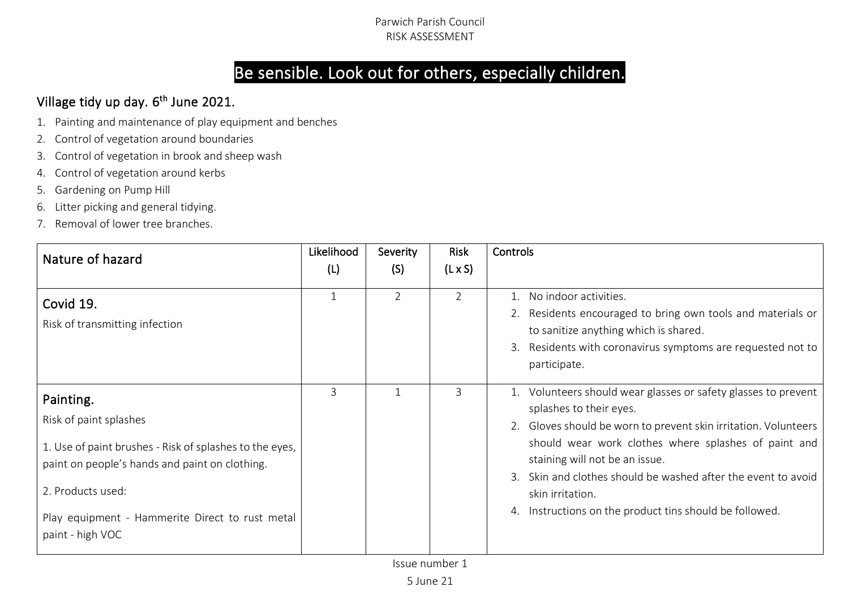# Be sensible. Look out for others, especially children.

# Village tidy up day. 6<sup>th</sup> June 2021.

- 1. Painting and maintenance of play equipment and benches
- 2. Control of vegetation around boundaries
- 3. Control of vegetation in brook and sheep wash
- 4. Control of vegetation around kerbs
- 5. Gardening on Pump Hill
- 6. Litter picking and general tidying.
- 7. Removal of lower tree branches.

| Nature of hazard                                                                                                                                                                                                                             | Likelihood<br>(L) | Severity<br>(S) | Risk<br>$(L \times S)$ | Controls                                                                                                                                                                                                                                                                                                                                                                                            |
|----------------------------------------------------------------------------------------------------------------------------------------------------------------------------------------------------------------------------------------------|-------------------|-----------------|------------------------|-----------------------------------------------------------------------------------------------------------------------------------------------------------------------------------------------------------------------------------------------------------------------------------------------------------------------------------------------------------------------------------------------------|
| Covid 19.<br>Risk of transmitting infection                                                                                                                                                                                                  |                   | 2               | $\mathcal{P}$          | 1. No indoor activities.<br>2. Residents encouraged to bring own tools and materials or<br>to sanitize anything which is shared.<br>Residents with coronavirus symptoms are requested not to<br>3.<br>participate.                                                                                                                                                                                  |
| Painting.<br>Risk of paint splashes<br>1. Use of paint brushes - Risk of splashes to the eyes,<br>paint on people's hands and paint on clothing.<br>2. Products used:<br>Play equipment - Hammerite Direct to rust metal<br>paint - high VOC | 3                 |                 | 3                      | 1. Volunteers should wear glasses or safety glasses to prevent<br>splashes to their eyes.<br>2. Gloves should be worn to prevent skin irritation. Volunteers<br>should wear work clothes where splashes of paint and<br>staining will not be an issue.<br>Skin and clothes should be washed after the event to avoid<br>skin irritation.<br>4. Instructions on the product tins should be followed. |

Issue number 1

5 June 21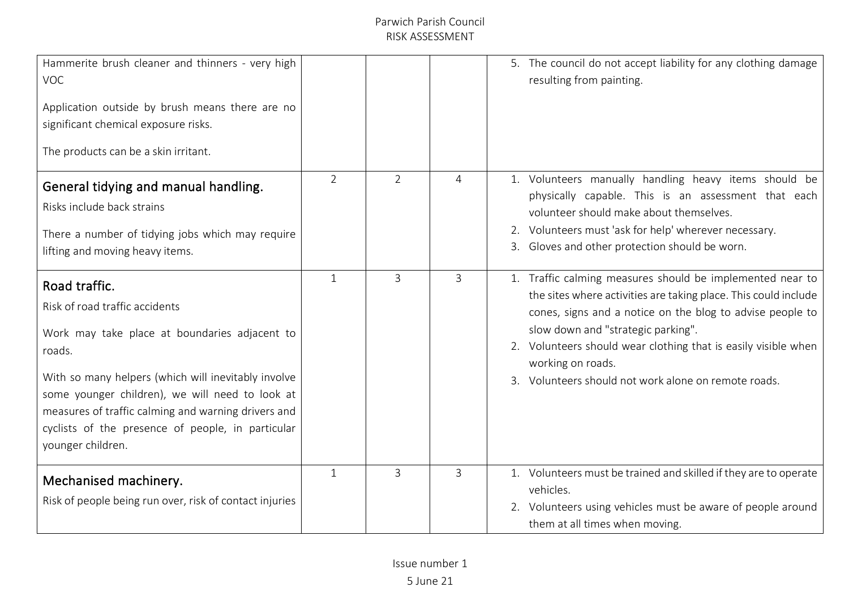| Hammerite brush cleaner and thinners - very high<br><b>VOC</b><br>Application outside by brush means there are no<br>significant chemical exposure risks.<br>The products can be a skin irritant.                                                                                                                                                     |                |                |   | 5. The council do not accept liability for any clothing damage<br>resulting from painting.                                                                                                                                                                                                                                                                                     |
|-------------------------------------------------------------------------------------------------------------------------------------------------------------------------------------------------------------------------------------------------------------------------------------------------------------------------------------------------------|----------------|----------------|---|--------------------------------------------------------------------------------------------------------------------------------------------------------------------------------------------------------------------------------------------------------------------------------------------------------------------------------------------------------------------------------|
| General tidying and manual handling.<br>Risks include back strains<br>There a number of tidying jobs which may require<br>lifting and moving heavy items.                                                                                                                                                                                             | $\overline{2}$ | $\overline{2}$ | 4 | 1. Volunteers manually handling heavy items should be<br>physically capable. This is an assessment that each<br>volunteer should make about themselves.<br>2. Volunteers must 'ask for help' wherever necessary.<br>3. Gloves and other protection should be worn.                                                                                                             |
| Road traffic.<br>Risk of road traffic accidents<br>Work may take place at boundaries adjacent to<br>roads.<br>With so many helpers (which will inevitably involve<br>some younger children), we will need to look at<br>measures of traffic calming and warning drivers and<br>cyclists of the presence of people, in particular<br>younger children. | 1              | $\overline{3}$ | 3 | 1. Traffic calming measures should be implemented near to<br>the sites where activities are taking place. This could include<br>cones, signs and a notice on the blog to advise people to<br>slow down and "strategic parking".<br>2. Volunteers should wear clothing that is easily visible when<br>working on roads.<br>3. Volunteers should not work alone on remote roads. |
| Mechanised machinery.<br>Risk of people being run over, risk of contact injuries                                                                                                                                                                                                                                                                      | 1              | 3              | 3 | 1. Volunteers must be trained and skilled if they are to operate<br>vehicles.<br>2. Volunteers using vehicles must be aware of people around<br>them at all times when moving.                                                                                                                                                                                                 |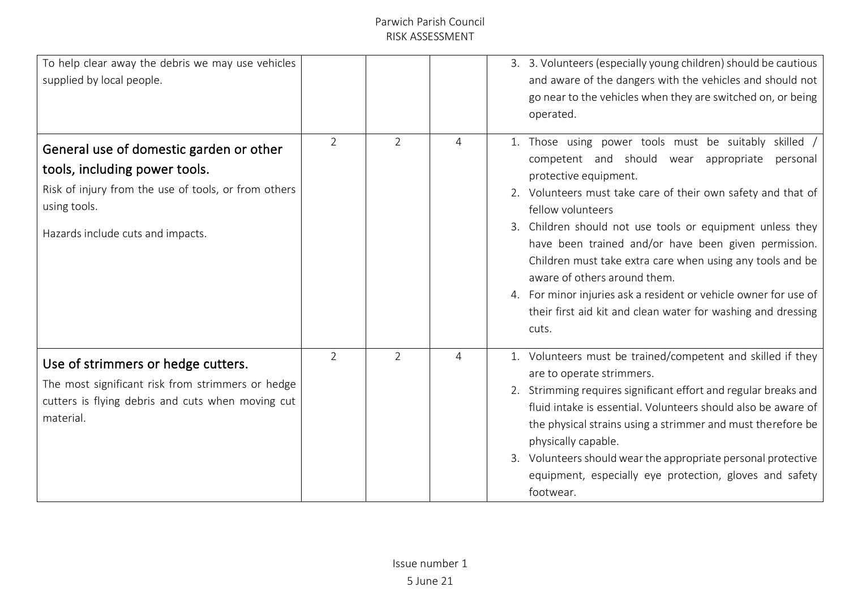| To help clear away the debris we may use vehicles<br>supplied by local people.                                                                                                        |                |   |   | 3. 3. Volunteers (especially young children) should be cautious<br>and aware of the dangers with the vehicles and should not<br>go near to the vehicles when they are switched on, or being<br>operated.                                                                                                                                                                                                                                                                                                                                                                             |
|---------------------------------------------------------------------------------------------------------------------------------------------------------------------------------------|----------------|---|---|--------------------------------------------------------------------------------------------------------------------------------------------------------------------------------------------------------------------------------------------------------------------------------------------------------------------------------------------------------------------------------------------------------------------------------------------------------------------------------------------------------------------------------------------------------------------------------------|
| General use of domestic garden or other<br>tools, including power tools.<br>Risk of injury from the use of tools, or from others<br>using tools.<br>Hazards include cuts and impacts. | $\overline{2}$ | 2 | 4 | 1. Those using power tools must be suitably skilled /<br>competent and should wear appropriate personal<br>protective equipment.<br>2. Volunteers must take care of their own safety and that of<br>fellow volunteers<br>3. Children should not use tools or equipment unless they<br>have been trained and/or have been given permission.<br>Children must take extra care when using any tools and be<br>aware of others around them.<br>4. For minor injuries ask a resident or vehicle owner for use of<br>their first aid kit and clean water for washing and dressing<br>cuts. |
| Use of strimmers or hedge cutters.<br>The most significant risk from strimmers or hedge<br>cutters is flying debris and cuts when moving cut<br>material.                             | $\overline{2}$ | 2 | 4 | 1. Volunteers must be trained/competent and skilled if they<br>are to operate strimmers.<br>2. Strimming requires significant effort and regular breaks and<br>fluid intake is essential. Volunteers should also be aware of<br>the physical strains using a strimmer and must therefore be<br>physically capable.<br>3. Volunteers should wear the appropriate personal protective<br>equipment, especially eye protection, gloves and safety<br>footwear.                                                                                                                          |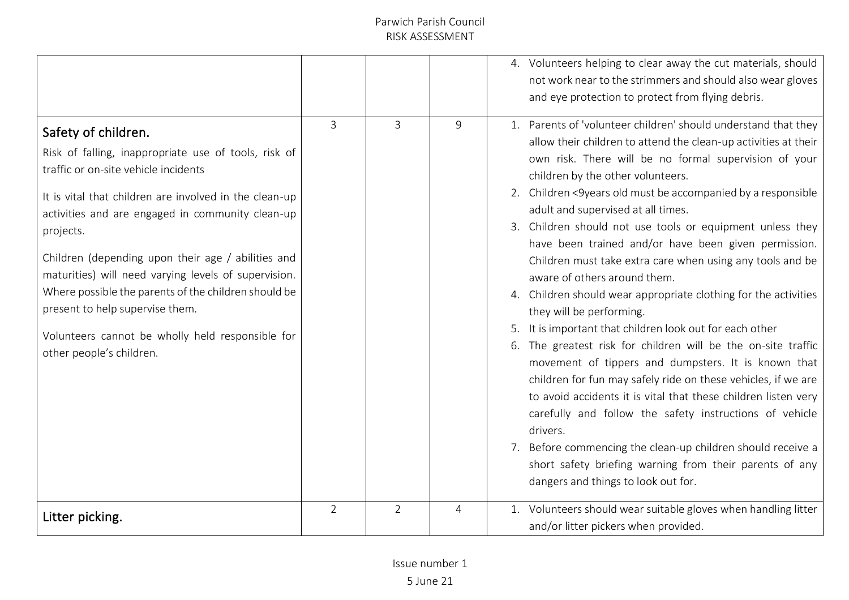|                                                                                                                                                                                                                                                                                                                                                                                                                                                                                                                                         |                |                |   | 4. Volunteers helping to clear away the cut materials, should<br>not work near to the strimmers and should also wear gloves<br>and eye protection to protect from flying debris.                                                                                                                                                                                                                                                                                                                                                                                                                                                                                                                                                                                                                                                                                                                                                                                                                                                                                                                                                                                                                                   |
|-----------------------------------------------------------------------------------------------------------------------------------------------------------------------------------------------------------------------------------------------------------------------------------------------------------------------------------------------------------------------------------------------------------------------------------------------------------------------------------------------------------------------------------------|----------------|----------------|---|--------------------------------------------------------------------------------------------------------------------------------------------------------------------------------------------------------------------------------------------------------------------------------------------------------------------------------------------------------------------------------------------------------------------------------------------------------------------------------------------------------------------------------------------------------------------------------------------------------------------------------------------------------------------------------------------------------------------------------------------------------------------------------------------------------------------------------------------------------------------------------------------------------------------------------------------------------------------------------------------------------------------------------------------------------------------------------------------------------------------------------------------------------------------------------------------------------------------|
| Safety of children.<br>Risk of falling, inappropriate use of tools, risk of<br>traffic or on-site vehicle incidents<br>It is vital that children are involved in the clean-up<br>activities and are engaged in community clean-up<br>projects.<br>Children (depending upon their age / abilities and<br>maturities) will need varying levels of supervision.<br>Where possible the parents of the children should be<br>present to help supervise them.<br>Volunteers cannot be wholly held responsible for<br>other people's children. | 3              | 3              | 9 | 1. Parents of 'volunteer children' should understand that they<br>allow their children to attend the clean-up activities at their<br>own risk. There will be no formal supervision of your<br>children by the other volunteers.<br>2. Children <9years old must be accompanied by a responsible<br>adult and supervised at all times.<br>3. Children should not use tools or equipment unless they<br>have been trained and/or have been given permission.<br>Children must take extra care when using any tools and be<br>aware of others around them.<br>4. Children should wear appropriate clothing for the activities<br>they will be performing.<br>It is important that children look out for each other<br>6. The greatest risk for children will be the on-site traffic<br>movement of tippers and dumpsters. It is known that<br>children for fun may safely ride on these vehicles, if we are<br>to avoid accidents it is vital that these children listen very<br>carefully and follow the safety instructions of vehicle<br>drivers.<br>7. Before commencing the clean-up children should receive a<br>short safety briefing warning from their parents of any<br>dangers and things to look out for. |
| Litter picking.                                                                                                                                                                                                                                                                                                                                                                                                                                                                                                                         | $\overline{2}$ | $\overline{2}$ | 4 | 1. Volunteers should wear suitable gloves when handling litter<br>and/or litter pickers when provided.                                                                                                                                                                                                                                                                                                                                                                                                                                                                                                                                                                                                                                                                                                                                                                                                                                                                                                                                                                                                                                                                                                             |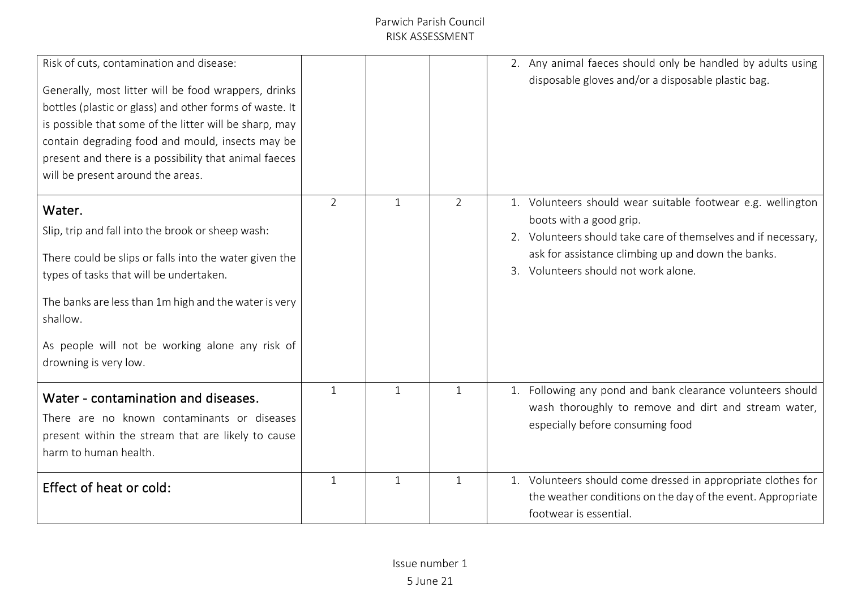| Risk of cuts, contamination and disease:<br>Generally, most litter will be food wrappers, drinks<br>bottles (plastic or glass) and other forms of waste. It<br>is possible that some of the litter will be sharp, may<br>contain degrading food and mould, insects may be<br>present and there is a possibility that animal faeces<br>will be present around the areas. |                |              |                | 2. Any animal faeces should only be handled by adults using<br>disposable gloves and/or a disposable plastic bag.                                                                                                                                      |
|-------------------------------------------------------------------------------------------------------------------------------------------------------------------------------------------------------------------------------------------------------------------------------------------------------------------------------------------------------------------------|----------------|--------------|----------------|--------------------------------------------------------------------------------------------------------------------------------------------------------------------------------------------------------------------------------------------------------|
| Water.<br>Slip, trip and fall into the brook or sheep wash:<br>There could be slips or falls into the water given the<br>types of tasks that will be undertaken.<br>The banks are less than 1m high and the water is very<br>shallow.<br>As people will not be working alone any risk of<br>drowning is very low.                                                       | $\overline{2}$ | $\mathbf{1}$ | $\overline{2}$ | 1. Volunteers should wear suitable footwear e.g. wellington<br>boots with a good grip.<br>2. Volunteers should take care of themselves and if necessary,<br>ask for assistance climbing up and down the banks.<br>3. Volunteers should not work alone. |
| Water - contamination and diseases.<br>There are no known contaminants or diseases<br>present within the stream that are likely to cause<br>harm to human health.                                                                                                                                                                                                       | $\mathbf{1}$   | 1            | $\mathbf{1}$   | 1. Following any pond and bank clearance volunteers should<br>wash thoroughly to remove and dirt and stream water,<br>especially before consuming food                                                                                                 |
| Effect of heat or cold:                                                                                                                                                                                                                                                                                                                                                 | $\mathbf{1}$   | $\mathbf{1}$ | $\mathbf{1}$   | 1. Volunteers should come dressed in appropriate clothes for<br>the weather conditions on the day of the event. Appropriate<br>footwear is essential.                                                                                                  |